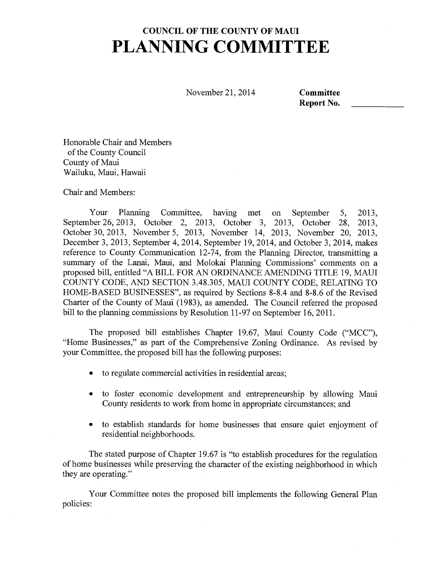November 21, 2014 **Committee** 

**Report No.** 

Honorable Chair and Members of the County Council County of Maui Wailuku, Maui, Hawaii

Chair and Members:

Your Planning Committee, having met on September 5, 2013, September 26, 2013, October 2, 2013, October 3, 2013, October 28, 2013, October 30, 2013, November 5, 2013, November 14, 2013, November 20, 2013, December 3, 2013, September 4, 2014, September 19, 2014, and October 3, 2014, makes reference to County Communication 12-74, from the Planning Director, transmitting a summary of the Lanai, Maui, and Molokai Planning Commissions' comments on a proposed bill, entitled "A BILL FOR AN ORDINANCE AMENDING TITLE 19, MAUI COUNTY CODE, AND SECTION 3.48.305, MAUI COUNTY CODE, RELATING TO HOME-BASED BUSINESSES", as required by Sections 8-8.4 and 8-8.6 of the Revised Charter of the County of Maui (1983), as amended. The Council referred the proposed bill to the planning commissions by Resolution 11-97 on September 16, 2011.

The proposed bill establishes Chapter 19.67, Maui County Code ("MCC"), "Home Businesses," as part of the Comprehensive Zoning Ordinance. As revised by your Committee, the proposed bill has the following purposes:

- to regulate commercial activities in residential areas;
- to foster economic development and entrepreneurship by allowing Maui County residents to work from home in appropriate circumstances; and
- to establish standards for home businesses that ensure quiet enjoyment of residential neighborhoods.

The stated purpose of Chapter 19.67 is "to establish procedures for the regulation of home businesses while preserving the character of the existing neighborhood in which they are operating."

Your Committee notes the proposed bill implements the following General Plan policies: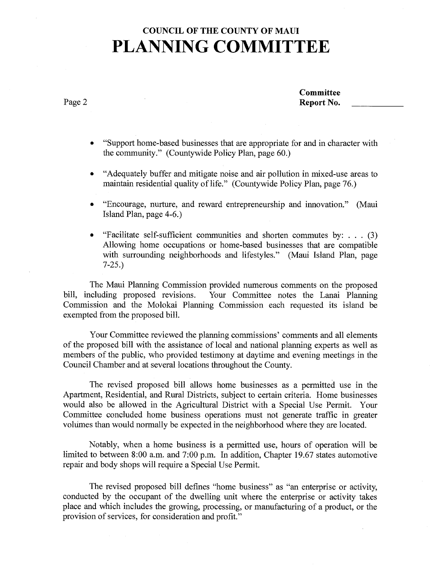Page 2

**Committee** Report No.

- "Support home-based businesses that are appropriate for and in character with the community." (Countywide Policy Plan, page 60.)
- "Adequately buffer and mitigate noise and air pollution in mixed-use areas to maintain residential quality of life." (Countywide Policy Plan, page 76.)
- "Encourage, nurture, and reward entrepreneurship and innovation." (Maui Island Plan, page 4-6.)
- "Facilitate self-sufficient communities and shorten commutes by: . . . (3) Allowing home occupations or home-based businesses that are compatible with surrounding neighborhoods and lifestyles." (Maui Island Plan, page 7-25.)

The Maui Planning Commission provided numerous comments on the proposed bill, including proposed revisions. Your Committee notes the Lanai Planning Commission and the Molokai Planning Commission each requested its island be exempted from the proposed bill.

Your Committee reviewed the planning commissions' comments and all elements of the proposed bill with the assistance of local and national planning experts as well as members of the public, who provided testimony at daytime and evening meetings in the Council Chamber and at several locations throughout the County.

The revised proposed bill allows home businesses as a permitted use in the Apartment, Residential, and Rural Districts, subject to certain criteria. Home businesses would also be allowed in the Agricultural District with a Special Use Permit. Your Committee concluded home business operations must not generate traffic in greater volumes than would normally be expected in the neighborhood where they are located.

Notably, when a home business is a permitted use, hours of operation will be limited to between 8:00 a.m. and 7:00 p.m. In addition, Chapter 19.67 states automotive repair and body shops will require a Special Use Permit.

The revised proposed bill defines "home business" as "an enterprise or activity, conducted by the occupant of the dwelling unit where the enterprise or activity takes place and which includes the growing, processing, or manufacturing of a product, or the provision of services, for consideration and profit."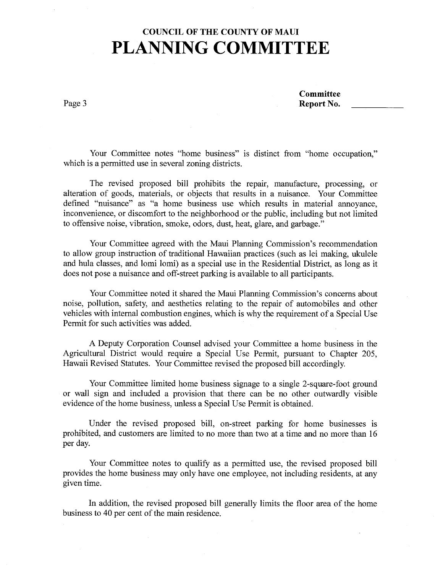Page 3

**Committee** Report No.

Your Committee notes "home business" is distinct from "home occupation," which is a permitted use in several zoning districts.

The revised proposed bill prohibits the repair, manufacture, processing, or alteration of goods, materials, or objects that results in a nuisance. Your Committee defined "nuisance" as "a home business use which results in material annoyance, inconvenience, or discomfort to the neighborhood or the public, including but not limited to offensive noise, vibration, smoke, odors, dust, heat, glare, and garbage."

Your Committee agreed with the Maui Planning Commission's recommendation to allow group instruction of traditional Hawaiian practices (such as lei making, ukulele and hula classes, and lomi lomi) as a special use in the Residential District, as long as it does not pose a nuisance and off-street parking is available to all participants.

Your Committee noted it shared the Maui Planning Commission's concerns about noise, pollution, safety, and aesthetics relating to the repair of automobiles and other vehicles with internal combustion engines, which is why the requirement of a Special Use Permit for such activities was added.

A Deputy Corporation Counsel advised your Committee a home business in the Agricultural District would require a Special Use Permit, pursuant to Chapter 205, Hawaii Revised Statutes. Your Committee revised the proposed bill accordingly.

Your Committee limited home business signage to a single 2-square-foot ground or wall sign and included a provision that there can be no other outwardly visible evidence of the home business, unless a Special Use Permit is obtained.

Under the revised proposed bill, on-street parking for home businesses is prohibited, and customers are limited to no more than two at a time and no more than 16 per day.

Your Committee notes to qualify as a permitted use, the revised proposed bill provides the home business may only have one employee, not including residents, at any given time.

In addition, the revised proposed bill generally limits the floor area of the home business to 40 per cent of the main residence.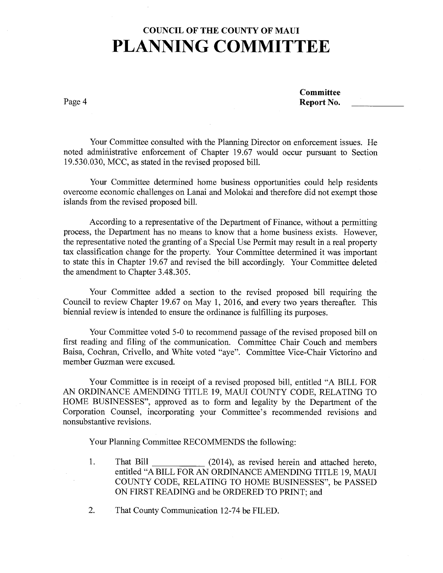Page 4

**Committee** Report No.

Your Committee consulted with the Planning Director on enforcement issues. He noted administrative enforcement of Chapter 19.67 would occur pursuant to Section 19.530.030, MCC, as stated in the revised proposed bill.

Your Committee determined home business opportunities could help residents overcome economic challenges on Lanai and Molokai and therefore did not exempt those islands from the revised proposed bill.

According to a representative of the Department of Finance, without a permitting process, the Department has no means to know that a home business exists. However, the representative noted the granting of a Special Use Permit may result in a real property tax classification change for the property. Your Committee determined it was important to state this in Chapter 19.67 and revised the bill accordingly. Your Committee deleted the amendment to Chapter 3.48.305.

Your Committee added a section to the revised proposed bill requiring the Council to review Chapter 19.67 on May 1, 2016, and every two years thereafter. This biennial review is intended to ensure the ordinance is fulfilling its purposes.

Your Committee voted 5-0 to recommend passage of the revised proposed bill on first reading and filing of the communication. Committee Chair Couch and members Baisa, Cochran, Crivello, and White voted "aye". Committee Vice-Chair Victorino and member Guzman were excused.

Your Committee is in receipt of a revised proposed bill, entitled "A BILL FOR AN ORDINANCE AMENDING TITLE 19, MAUI COUNTY CODE, RELATING TO HOME BUSINESSES", approved as to form and legality by the Department of the Corporation Counsel, incorporating your Committee's recommended revisions and nonsubstantive revisions.

Your Planning Committee RECOMMENDS the following:

- 1. That Bill (2014), as revised herein and attached hereto, entitled "A BILL FOR AN ORDINANCE AMENDING TITLE 19, MAUI COUNTY CODE, RELATING TO HOME BUSINESSES", be PASSED ON FIRST READING and be ORDERED TO PRINT; and
- 2. That County Communication 12-74 be FILED.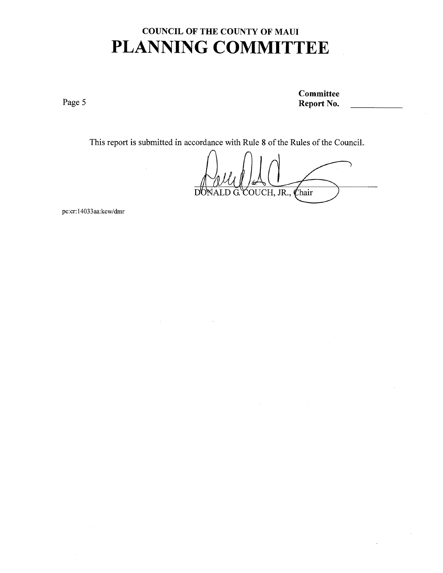Page 5

### **Committee** Report No.

This report is submitted in accordance with Rule 8 of the Rules of the Council..

LD G. COUCH, JR., Chair

pc:cr: 14033 aa:kcw/dmr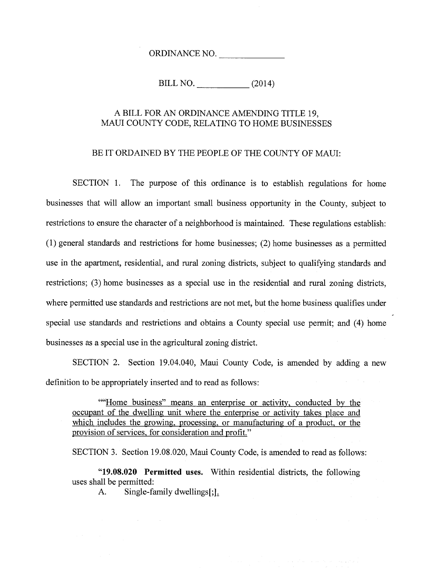ORDINANCE NO.

BILL NO. (2014)

### A BILL FOR AN ORDINANCE AMENDING TITLE 19, MAUI COUNTY CODE, RELATING TO HOME BUSINESSES

### BE IT ORDAINED BY THE PEOPLE OF THE COUNTY OF MAUI:

SECTION 1. The purpose of this ordinance is to establish regulations for home businesses that will allow an important small business opportunity in the County, subject to restrictions to ensure the character of a neighborhood is maintained. These regulations establish: (1) general standards and restrictions for home businesses; (2) home businesses as a permitted use in the apartment, residential, and rural zoning districts, subject to qualifying standards and restrictions; (3) home businesses as a special use in the residential and rural zoning districts, where permitted use standards and restrictions are not met, but the home business qualifies under special use standards and restrictions and obtains a County special use permit; and (4) home businesses as a special use in the agricultural zoning district.

SECTION 2. Section 19.04.040, Maui County Code, is amended by adding a new definition to be appropriately inserted and to read as follows:

"Home business" means an enterprise or activity, conducted by the occupant of the dwelling unit where the enterprise or activity takes place and which includes the growing, processing, or manufacturing of a product, or the provision of services, for consideration and profit."

SECTION 3. Section 19.08.020, Maui County Code, is amended to read as follows:

**"19.08.020 Permitted uses.** Within residential districts, the following uses shall be permitted:

الأراقي والمتحدث والمتحدث والمستحدث والمستأثر الموارد

A. Single-family dwellings[;].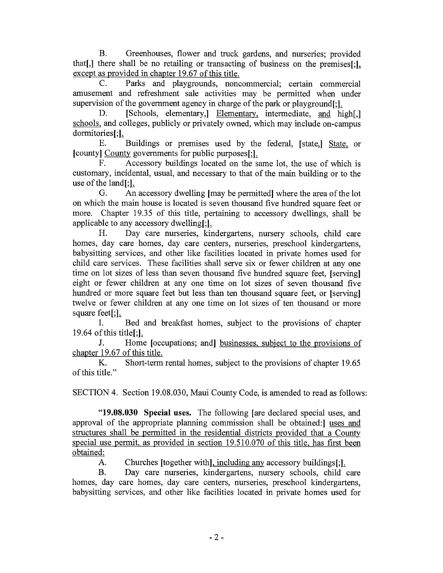B. Greenhouses, flower and truck gardens, and nurseries; provided that [,] there shall be no retailing or transacting of business on the premises $[$ ;], except as provided in chapter 19.67 of this title.

C. Parks and playgrounds, noncommercial; certain commercial amusement and refreshment sale activities may be permitted when under supervision of the government agency in charge of the park or playground[;].

D. [Schools, elementary,] Elementary, intermediate, and high[,] schools, and colleges, publicly or privately owned, which may include on-campus dormitories<sup>[</sup>;].

E. Buildings or premises used by the federal, [state,] State, or [county] County governments for public purposes[;].

F. Accessory buildings located on the same lot, the use of which is customary, incidental, usual, and necessary to that of the main building or to the use of the land[;].

G. An accessory dwelling [may be permitted] where the area of the lot on which the main house is located is seven thousand five hundred square feet or more. Chapter 19.35 of this title, pertaining to accessory dwellings, shall be applicable to any accessory dwelling[;],

H. Day care nurseries, kindergartens, nursery schools, child care homes, day care homes, day care centers, nurseries, preschool kindergartens, babysitting services, and other like facilities located in private homes used for child care services. These facilities shall serve six or fewer children at any one time on lot sizes of less than seven thousand five hundred square feet, [serving] eight or fewer children at any one time on lot sizes of seven thousand five hundred or more square feet but less than ten thousand square feet, or [serving] twelve or fewer children at any one time on lot sizes of ten thousand or more square feet[:].

I. Bed and breakfast homes, subject to the provisions of chapter 19.64 of this title $[]$ .

J. Home [occupations; and] businesses, subject to the provisions of chapter 19.67 of this title.

K. Short-term rental homes, subject to the provisions of chapter 19.65 of this title."

SECTION 4. Section 19.08.030, Maui County Code, is amended to read as follows:

**"19.08.030** Special uses. The following [are declared special uses, and approval of the appropriate planning commission shall be obtained:] uses and structures shall be permitted in the residential districts provided that a County special use permit, as provided in section 19.510.070 of this title, has first been obtained:

A. Churches [together with], including any accessory buildings[;],

B. Day care nurseries, kindergartens, nursery schools, child care homes, day care homes, day care centers, nurseries, preschool kindergartens, babysitting services, and other like facilities located in private homes used for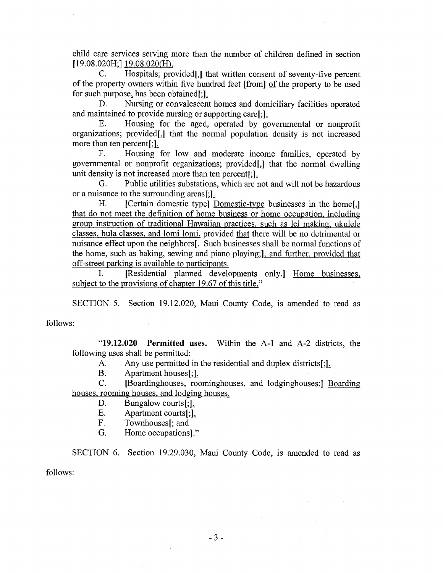child care services serving more than the number of children defined in section [19.08.020H;] 19.08.020(H).

C. Hospitals; provided[,] that written consent of seventy-five percent of the property owners within five hundred feet [from] of the property to be used for such purpose, has been obtained $\lbrack$ :

D. Nursing or convalescent homes and domiciliary facilities operated and maintained to provide nursing or supporting care[;].

E. Housing for the aged, operated by governmental or nonprofit organizations; provided[,] that the normal population density is not increased more than ten percent[;].

F. Housing for low and moderate income families, operated by governmental or nonprofit organizations; provided[,] that the normal dwelling unit density is not increased more than ten percent[;].

G. Public utilities substations, which are not and will not be hazardous or a nuisance to the surrounding areas[;].

H. [Certain domestic type] Domestic-type businesses in the home.] that do not meet the definition of home business or home occupation, including group instruction of traditional Hawaiian practices, such as lei making, ukulele classes, hula classes, and lomi lomi, provided that there will be no detrimental or nuisance effect upon the neighbors[. Such businesses shall be normal functions of the home, such as baking, sewing and piano playing;], and further, provided that off-street parking is available to participants.

I. [Residential planned developments only.] Home businesses., subject to the provisions of chapter 19.67 of this title."

SECTION 5. Section 19.12.020, Maui County Code, is amended to read as

follows:

**"19.12.020 Permitted uses.** Within the A-1 and A-2 districts, the following uses shall be permitted:

A. Any use permitted in the residential and duplex districts[;].

B. Apartment houses[;].

C. [Boardinghouses, roominghouses, and lodginghouses;] Boarding houses, rooming houses, and lodging houses.

- D. Bungalow courts[;].<br>E. Apartment courts[:].
- Apartment courts[;].
- F. Townhouses [; and
- G. Home occupations]."

SECTION 6. Section 19.29.030, Maui County Code, is amended to read as

follows: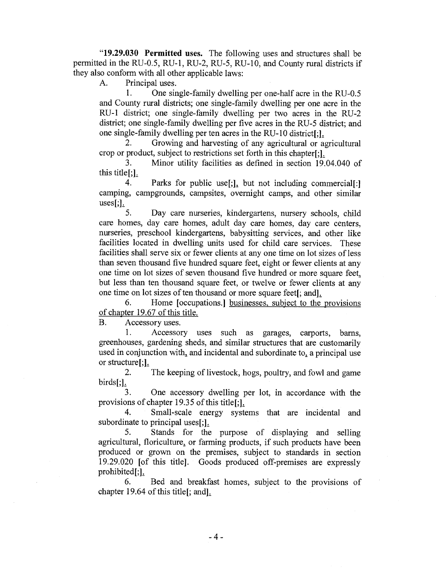**"19.29.030 Permitted uses.** The following uses and structures shall be permitted in the RU-0.5, RU-1, RU-2, RU-5, RU-10, and County rural districts if they also conform with all other applicable laws:

A. Principal uses.

1. One single-family dwelling per one-half acre in the RU-0.5 and County rural districts; one single-family dwelling per one acre in the RU-1 district; one single-family dwelling per two acres in the RU-2 district; one single-family dwelling per five acres in the RU-5 district; and one single-family dwelling per ten acres in the RU-10 district[;],

2. Growing and harvesting of any agricultural or agricultural crop or product, subject to restrictions set forth in this chapter[;].

3. Minor utility facilities as defined in section 19.04.040 of this title[;],

4. Parks for public use[;], but not including commercial[:] camping, campgrounds, campsites, overnight camps, and other similar  $uses[:,]$ .

5. Day care nurseries, kindergartens, nursery schools, child care homes, day care homes, adult day care homes, day care centers, nurseries, preschool kindergartens, babysitting services, and other like facilities located in dwelling units used for child care services. These facilities shall serve six or fewer clients at any one time on lot sizes of less than seven thousand five hundred square feet, eight or fewer clients at any one time on lot sizes of seven thousand five hundred or more square feet but less than ten thousand square feet, or twelve or fewer clients at any one time on lot sizes of ten thousand or more square feet[; and],

6. Home [occupations.] businesses, subject to the provisions of chapter 19.67 of this title.

B. Accessory uses.

1. Accessory uses such as garages, carports, barns, greenhouses, gardening sheds, and similar structures that are customarily used in conjunction with, and incidental and subordinate to, a principal use or structure[;],

2. The keeping of livestock, hogs, poultry, and fowl and game  $birds$ [;].

3. One accessory dwelling per lot, in accordance with the provisions of chapter 19.35 of this title[;],

4. Small-scale energy systems that are incidental and subordinate to principal uses[;],

5. Stands for the purpose of displaying and selling agricultural, floriculture, or farming products, if such products have been produced or grown on the premises, subject to standards in section 19.29.020 [of this title]. Goods produced off-premises are expressly prohibited[;].

6. Bed and breakfast homes, subject to the provisions of chapter 19.64 of this title[; and],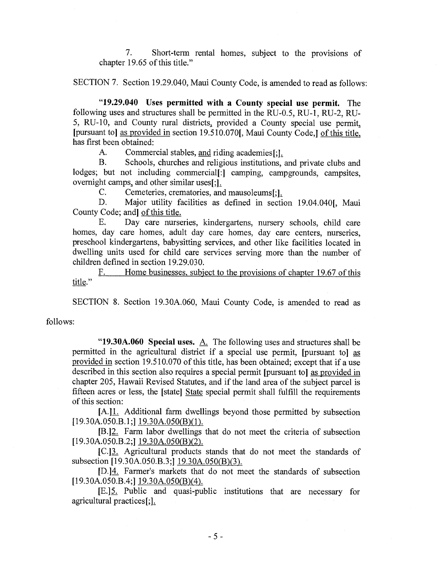7. Short-term rental homes, subject to the provisions of chapter 19.65 of this title."

SECTION 7. Section 19.29.040, Maui County Code, is amended to read as follows:

**"19.29.040** Uses **permitted with a County special use permit.** The following uses and structures shall be permitted in the RU-0.5, RU-1, RU-2, RU-5, RU-10, and County rural districts, provided a County special use permit, [pursuant to] as provided in section 19.510.070[, Maui County Code,] of this title, has first been obtained:

A. Commercial stables, and riding academies[;].

B. Schools, churches and religious institutions, and private clubs and lodges; but not including commercial[:] camping, campgrounds, campsites, overnight camps, and other similar uses[;].

C. Cemeteries, crematories, and mausoleums[:].

D. Major utility facilities as defined in section 19.04.040[, Maui County Code; and] of this title.

E. Day care nurseries, kindergartens, nursery schools, child care homes, day care homes, adult day care homes, day care centers, nurseries, preschool kindergartens, babysitting services, and other like facilities located in dwelling units used for child care services serving more than the number of children defined in section 19.29.030.

Home businesses, subject to the provisions of chapter 19.67 of this title."

SECTION 8. Section 19.30A.060, Maui County Code, is amended to read as

follows:

"**19.30A.060** Special uses. A. The following uses and structures shall be permitted in the agricultural district if a special use permit, [pursuant to] as provided in section 19.510.070 of this title, has been obtained; except that if a use described in this section also requires a special permit [pursuant to] as provided in chapter 205, Hawaii Revised Statutes, and if the land area of the subject parcel is fifteen acres or less, the [state] State special permit shall fulfill the requirements of this section:

[A.]1. Additional farm dwellings beyond those permitted by subsection [19.30A.050.B.1;] 19.30A.050(B)(1).

[B.]2. Farm labor dwellings that do not meet the criteria of subsection [19.30A.050.B.2;] 19.30A.050(B)(2).

[C.]3. Agricultural products stands that do not meet the standards of subsection [19.30A.050.B.3;] 19.30A.050(B)(3).

**[D.]4.** Farmer's markets that do not meet the standards of subsection [19.30A.050.B.4;] 19.30A.050(B)(4).

[E.]5. Public and quasi-public institutions that are necessary for agricultural practices[;]\_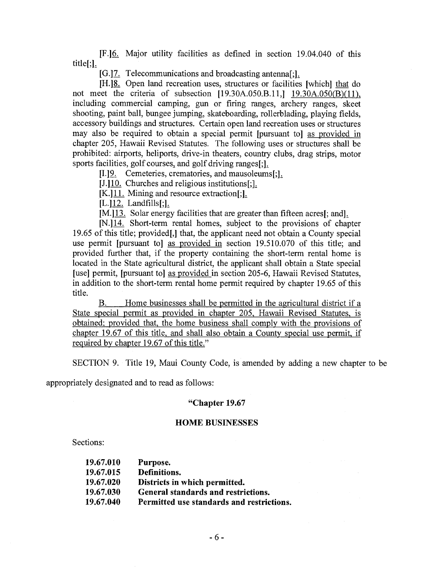[F.]6. Major utility facilities as defined in section 19.04.040 of this title[;],

[G.]7. Telecommunications and broadcasting antennal;].

[H.]<sup>8</sup>. Open land recreation uses, structures or facilities [which] that do not meet the criteria of subsection [19.30A.050.B.11,] 19.30A.050(B)(11), including commercial camping, gun or firing ranges, archery ranges, skeet shooting, paint ball, bungee jumping, skateboarding, rollerblading, playing fields, accessory buildings and structures. Certain open land recreation uses or structures may also be required to obtain a special permit [pursuant to] as provided in chapter 205, Hawaii Revised Statutes. The following uses or structures shall be prohibited: airports, heliports, drive-in theaters, country clubs, drag strips, motor sports facilities, golf courses, and golf driving ranges.

[1.]9. Cemeteries, crematories, and mausoleums[;],

[J.]10. Churches and religious institutions[;],

[K.]<sup>11</sup>. Mining and resource extraction<sup>[:]</sup>.

[L.]12. Landfills[;],

[M.]<sup>13.</sup> Solar energy facilities that are greater than fifteen acres<sup>[</sup>; and].

[N.]<sup>14</sup>. Short-term rental homes, subject to the provisions of chapter 19.65 of this title; provided[,] that, the applicant need not obtain a County special use permit [pursuant to] as provided in section 19.510.070 of this title; and provided further that, if the property containing the short-term rental home is located in the State agricultural district, the applicant shall obtain a State special [use] permit, [pursuant to] as provided in section 205-6, Hawaii Revised Statutes, in addition to the short-term rental home permit required by chapter 19.65 of this title.

B. Home businesses shall be permitted in the agricultural district if a State special permit as provided in chapter 205, Hawaii Revised Statutes, is obtained; provided that, the home business shall comply with the provisions of chapter 19.67 of this title, and shall also obtain a County special use permit, if required by chapter 19.67 of this title."

SECTION 9. Title 19, Maui County Code, is amended by adding a new chapter to be

appropriately designated and to read as follows:

#### **"Chapter 19.67**

#### **HOME BUSINESSES**

Sections:

| 19.67.010 | Purpose.                                  |
|-----------|-------------------------------------------|
| 19.67.015 | Definitions.                              |
| 19.67.020 | Districts in which permitted.             |
| 19.67.030 | General standards and restrictions.       |
| 19,67.040 | Permitted use standards and restrictions. |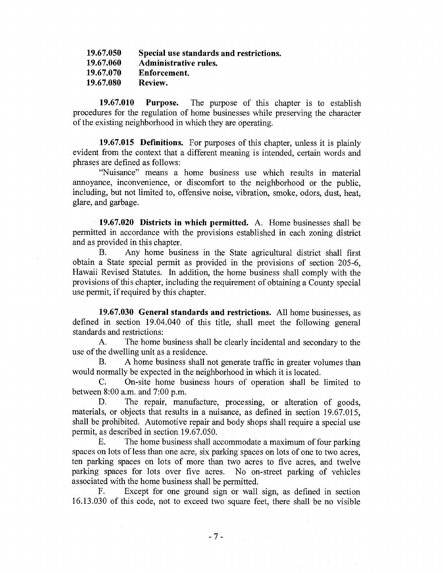| Special use standards and restrictions. |
|-----------------------------------------|
|                                         |
|                                         |
|                                         |
|                                         |

**19.67.010 Purpose.** The purpose of this chapter is to establish procedures for the regulation of home businesses while preserving the character of the existing neighborhood in which they are operating.

**19.67.015 Definitions.** For purposes of this chapter, unless it is plainly evident from the context that a different meaning is intended, certain words and phrases are defined as follows:

"Nuisance" means a home business use which results in material annoyance, inconvenience, or discomfort to the neighborhood or the public, including, but not limited to, offensive noise, vibration, smoke, odors, dust, heat, glare, and garbage.

**19.67.020 Districts in which permitted.** A. Home businesses shall be permitted in accordance with the provisions established in each zoning district and as provided in this chapter.

B. Any home business in the State agricultural district shall first obtain a State special permit as provided in the provisions of section 205-6, Hawaii Revised Statutes. In addition, the home business shall comply with the provisions of this chapter, including the requirement of obtaining a County special use permit, if required by this chapter.

**19.67.030 General standards and restrictions.** All home businesses, as defined in section 19.04.040 of this title, shall meet the following general standards and restrictions:

A. The home business shall be clearly incidental and secondary to the use of the dwelling unit as a residence.

B. A home business shall not generate traffic in greater volumes than would normally be expected in the neighborhood in which it is located.

C. On-site home business hours of operation shall be limited to between 8:00 a.m. and 7:00 p.m.

D. The repair, manufacture, processing, or alteration of goods, materials, or objects that results in a nuisance, as defined in section 19.67.015, shall be prohibited. Automotive repair and body shops shall require a special use permit, as described in section 19.67.050.

E. The home business shall accommodate a maximum of four parking spaces on lots of less than one acre, six parking spaces on lots of one to two acres, ten parking spaces on lots of more than two acres to five acres, and twelve parking spaces for lots over five acres. No on-street parking of vehicles associated with the home business shall be permitted.

F. Except for one ground sign or wall sign, as defined in section 16.13.030 of this code, not to exceed two square feet, there shall be no visible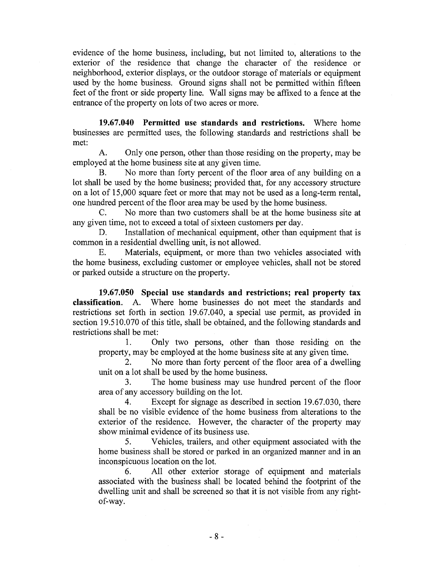evidence of the home business, including, but not limited to, alterations to the exterior of the residence that change the character of the residence or neighborhood, exterior displays, or the outdoor storage of materials or equipment used by the home business. Ground signs shall not be permitted within fifteen feet of the front or side property line. Wall signs may be affixed to a fence at the entrance of the property on lots of two acres or more.

**19.67.040 Permitted use standards and restrictions.** Where home businesses are permitted uses, the following standards and restrictions shall be met:

A. Only one person, other than those residing on the property, may be employed at the home business site at any given time.

B. No more than forty percent of the floor area of any building on a lot shall be used by the home business; provided that, for any accessory structure on a lot of 15,000 square feet or more that may not be used as a long-term rental, one hundred percent of the floor area may be used by the home business.

C. No more than two customers shall be at the home business site at any given time, not to exceed a total of sixteen customers per day.

D. Installation of mechanical equipment, other than equipment that is common in a residential dwelling unit, is not allowed.

E. Materials, equipment, or more than two vehicles associated with the home business, excluding customer or employee vehicles, shall not be stored or parked outside a structure on the property.

**19.67.050 Special use standards and restrictions; real property tax classification.** A. Where home businesses do not meet the standards and restrictions set forth in section 19.67.040, a special use permit, as provided in section 19.510.070 of this title, shall be obtained, and the following standards and restrictions shall be met:

1. Only two persons, other than those residing on the property, may be employed at the home business site at any given time.

2. No more than forty percent of the floor area of a dwelling unit on a lot shall be used by the home business.

3. The home business may use hundred percent of the floor area of any accessory building on the lot.

4. Except for signage as described in section 19.67.030, there shall be no visible evidence of the home business from alterations to the exterior of the residence. However, the character of the property may show minimal evidence of its business use.

5. Vehicles, trailers, and other equipment associated with the home business shall be stored or parked in an organized manner and in an inconspicuous location on the lot.

6. All other exterior storage of equipment and materials associated with the business shall be located behind the footprint of the dwelling unit and shall be screened so that it is not visible from any rightof-way.